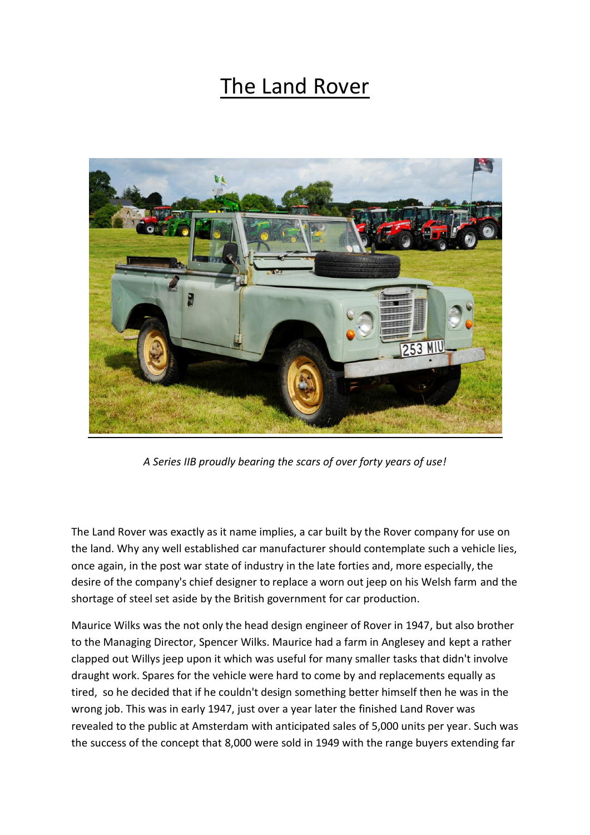## The Land Rover



*A Series IIB proudly bearing the scars of over forty years of use!*

The Land Rover was exactly as it name implies, a car built by the Rover company for use on the land. Why any well established car manufacturer should contemplate such a vehicle lies, once again, in the post war state of industry in the late forties and, more especially, the desire of the company's chief designer to replace a worn out jeep on his Welsh farm and the shortage of steel set aside by the British government for car production.

Maurice Wilks was the not only the head design engineer of Rover in 1947, but also brother to the Managing Director, Spencer Wilks. Maurice had a farm in Anglesey and kept a rather clapped out Willys jeep upon it which was useful for many smaller tasks that didn't involve draught work. Spares for the vehicle were hard to come by and replacements equally as tired, so he decided that if he couldn't design something better himself then he was in the wrong job. This was in early 1947, just over a year later the finished Land Rover was revealed to the public at Amsterdam with anticipated sales of 5,000 units per year. Such was the success of the concept that 8,000 were sold in 1949 with the range buyers extending far